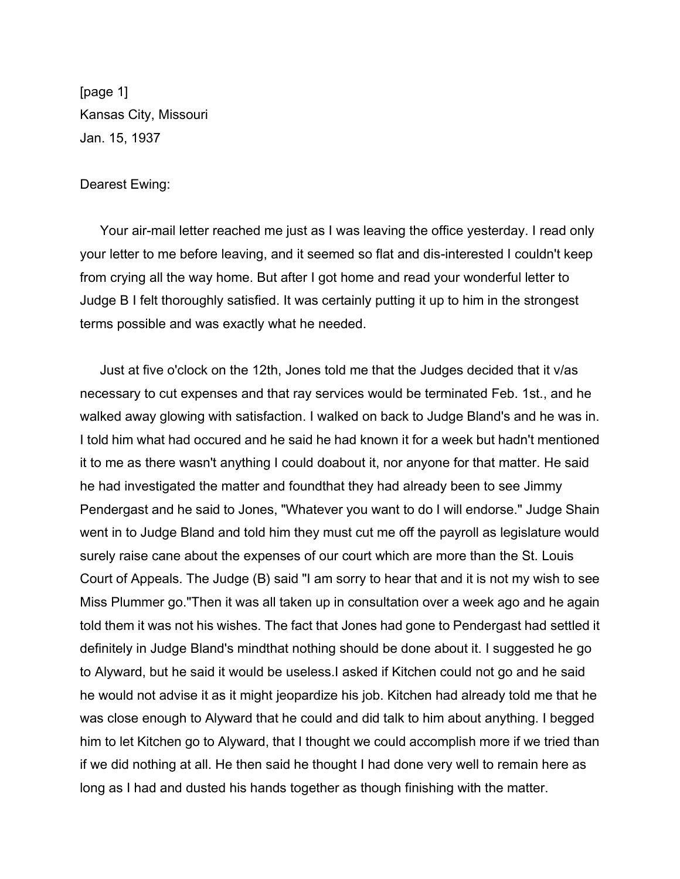[page 1] Kansas City, Missouri Jan. 15, 1937

## Dearest Ewing:

Your air-mail letter reached me just as I was leaving the office yesterday. I read only your letter to me before leaving, and it seemed so flat and dis-interested I couldn't keep from crying all the way home. But after I got home and read your wonderful letter to Judge B I felt thoroughly satisfied. It was certainly putting it up to him in the strongest terms possible and was exactly what he needed.

Just at five o'clock on the 12th, Jones told me that the Judges decided that it v/as necessary to cut expenses and that ray services would be terminated Feb. 1st., and he walked away glowing with satisfaction. I walked on back to Judge Bland's and he was in. I told him what had occured and he said he had known it for a week but hadn't mentioned it to me as there wasn't anything I could doabout it, nor anyone for that matter. He said he had investigated the matter and foundthat they had already been to see Jimmy Pendergast and he said to Jones, "Whatever you want to do I will endorse." Judge Shain went in to Judge Bland and told him they must cut me off the payroll as legislature would surely raise cane about the expenses of our court which are more than the St. Louis Court of Appeals. The Judge (B) said "I am sorry to hear that and it is not my wish to see Miss Plummer go."Then it was all taken up in consultation over a week ago and he again told them it was not his wishes. The fact that Jones had gone to Pendergast had settled it definitely in Judge Bland's mindthat nothing should be done about it. I suggested he go to Alyward, but he said it would be useless.I asked if Kitchen could not go and he said he would not advise it as it might jeopardize his job. Kitchen had already told me that he was close enough to Alyward that he could and did talk to him about anything. I begged him to let Kitchen go to Alyward, that I thought we could accomplish more if we tried than if we did nothing at all. He then said he thought I had done very well to remain here as long as I had and dusted his hands together as though finishing with the matter.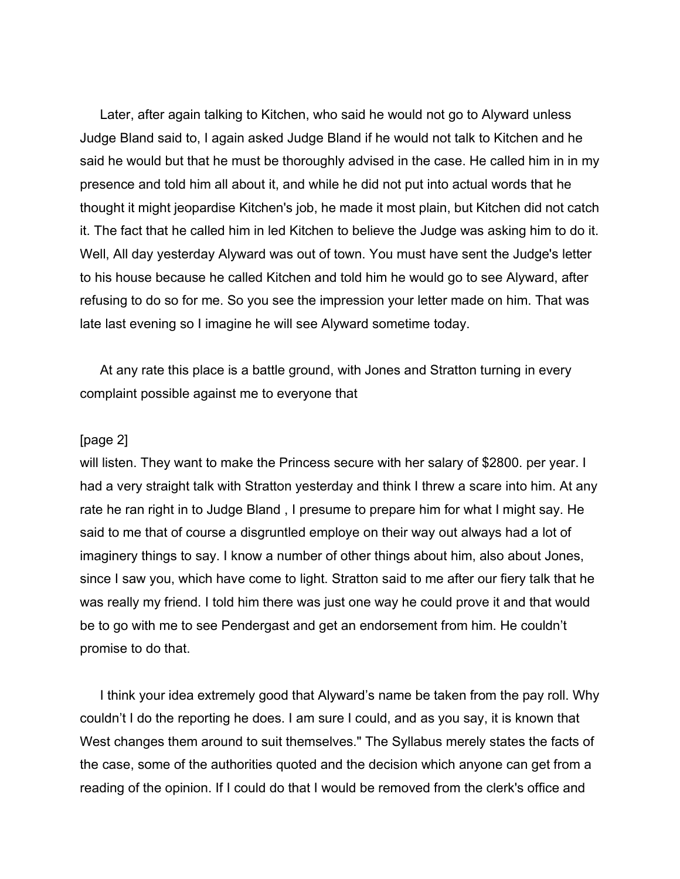Later, after again talking to Kitchen, who said he would not go to Alyward unless Judge Bland said to, I again asked Judge Bland if he would not talk to Kitchen and he said he would but that he must be thoroughly advised in the case. He called him in in my presence and told him all about it, and while he did not put into actual words that he thought it might jeopardise Kitchen's job, he made it most plain, but Kitchen did not catch it. The fact that he called him in led Kitchen to believe the Judge was asking him to do it. Well, All day yesterday Alyward was out of town. You must have sent the Judge's letter to his house because he called Kitchen and told him he would go to see Alyward, after refusing to do so for me. So you see the impression your letter made on him. That was late last evening so I imagine he will see Alyward sometime today.

At any rate this place is a battle ground, with Jones and Stratton turning in every complaint possible against me to everyone that

## [page 2]

will listen. They want to make the Princess secure with her salary of \$2800. per year. I had a very straight talk with Stratton yesterday and think I threw a scare into him. At any rate he ran right in to Judge Bland , I presume to prepare him for what I might say. He said to me that of course a disgruntled employe on their way out always had a lot of imaginery things to say. I know a number of other things about him, also about Jones, since I saw you, which have come to light. Stratton said to me after our fiery talk that he was really my friend. I told him there was just one way he could prove it and that would be to go with me to see Pendergast and get an endorsement from him. He couldn't promise to do that.

I think your idea extremely good that Alyward's name be taken from the pay roll. Why couldn't I do the reporting he does. I am sure I could, and as you say, it is known that West changes them around to suit themselves." The Syllabus merely states the facts of the case, some of the authorities quoted and the decision which anyone can get from a reading of the opinion. If I could do that I would be removed from the clerk's office and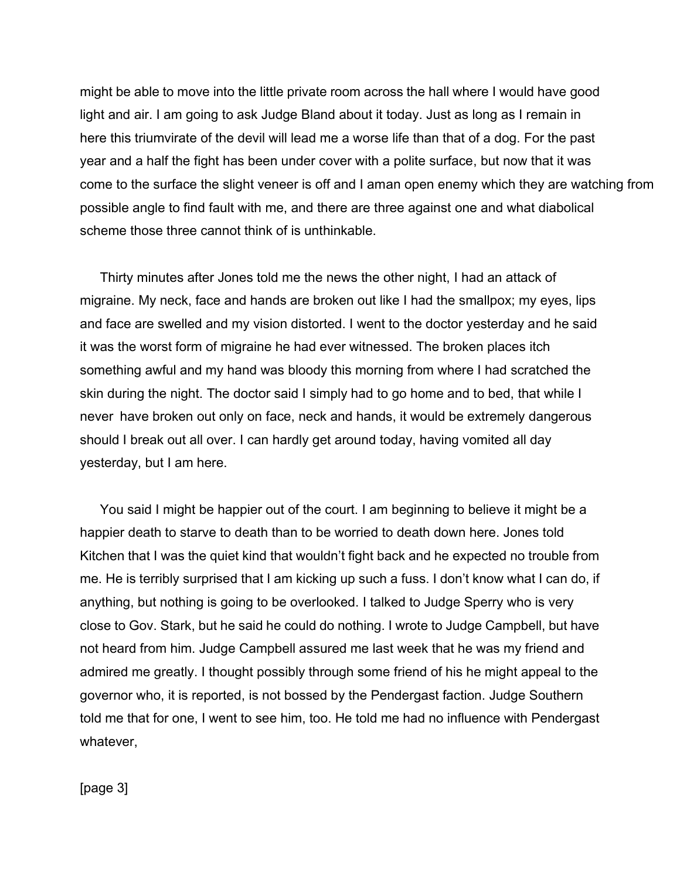might be able to move into the little private room across the hall where I would have good light and air. I am going to ask Judge Bland about it today. Just as long as I remain in here this triumvirate of the devil will lead me a worse life than that of a dog. For the past year and a half the fight has been under cover with a polite surface, but now that it was come to the surface the slight veneer is off and I aman open enemy which they are watching from possible angle to find fault with me, and there are three against one and what diabolical scheme those three cannot think of is unthinkable.

Thirty minutes after Jones told me the news the other night, I had an attack of migraine. My neck, face and hands are broken out like I had the smallpox; my eyes, lips and face are swelled and my vision distorted. I went to the doctor yesterday and he said it was the worst form of migraine he had ever witnessed. The broken places itch something awful and my hand was bloody this morning from where I had scratched the skin during the night. The doctor said I simply had to go home and to bed, that while I never have broken out only on face, neck and hands, it would be extremely dangerous should I break out all over. I can hardly get around today, having vomited all day yesterday, but I am here.

You said I might be happier out of the court. I am beginning to believe it might be a happier death to starve to death than to be worried to death down here. Jones told Kitchen that I was the quiet kind that wouldn't fight back and he expected no trouble from me. He is terribly surprised that I am kicking up such a fuss. I don't know what I can do, if anything, but nothing is going to be overlooked. I talked to Judge Sperry who is very close to Gov. Stark, but he said he could do nothing. I wrote to Judge Campbell, but have not heard from him. Judge Campbell assured me last week that he was my friend and admired me greatly. I thought possibly through some friend of his he might appeal to the governor who, it is reported, is not bossed by the Pendergast faction. Judge Southern told me that for one, I went to see him, too. He told me had no influence with Pendergast whatever,

[page 3]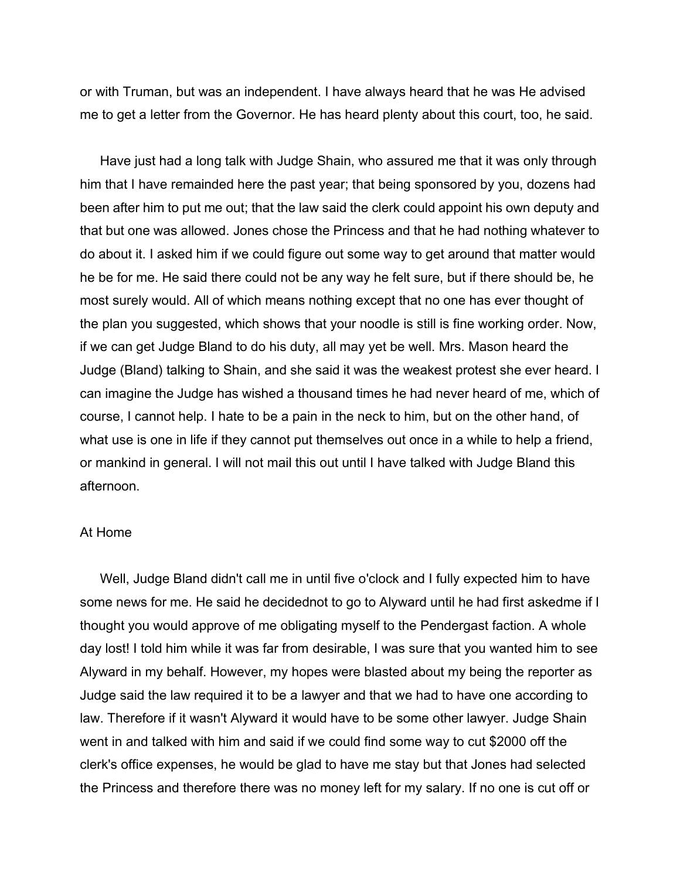or with Truman, but was an independent. I have always heard that he was He advised me to get a letter from the Governor. He has heard plenty about this court, too, he said.

Have just had a long talk with Judge Shain, who assured me that it was only through him that I have remainded here the past year; that being sponsored by you, dozens had been after him to put me out; that the law said the clerk could appoint his own deputy and that but one was allowed. Jones chose the Princess and that he had nothing whatever to do about it. I asked him if we could figure out some way to get around that matter would he be for me. He said there could not be any way he felt sure, but if there should be, he most surely would. All of which means nothing except that no one has ever thought of the plan you suggested, which shows that your noodle is still is fine working order. Now, if we can get Judge Bland to do his duty, all may yet be well. Mrs. Mason heard the Judge (Bland) talking to Shain, and she said it was the weakest protest she ever heard. I can imagine the Judge has wished a thousand times he had never heard of me, which of course, I cannot help. I hate to be a pain in the neck to him, but on the other hand, of what use is one in life if they cannot put themselves out once in a while to help a friend, or mankind in general. I will not mail this out until I have talked with Judge Bland this afternoon.

## At Home

Well, Judge Bland didn't call me in until five o'clock and I fully expected him to have some news for me. He said he decidednot to go to Alyward until he had first askedme if I thought you would approve of me obligating myself to the Pendergast faction. A whole day lost! I told him while it was far from desirable, I was sure that you wanted him to see Alyward in my behalf. However, my hopes were blasted about my being the reporter as Judge said the law required it to be a lawyer and that we had to have one according to law. Therefore if it wasn't Alyward it would have to be some other lawyer. Judge Shain went in and talked with him and said if we could find some way to cut \$2000 off the clerk's office expenses, he would be glad to have me stay but that Jones had selected the Princess and therefore there was no money left for my salary. If no one is cut off or